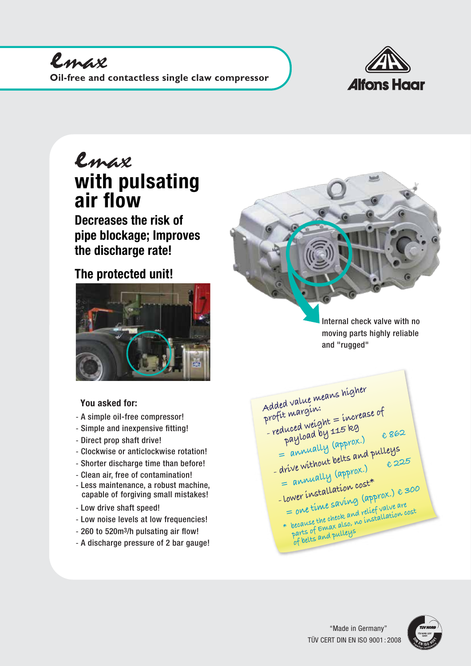

## with pulsating air flow emax

Decreases the risk of pipe blockage; Improves the discharge rate!

## The protected unit!



## **You asked for:**

- A simple oil-free compressor!
- Simple and inexpensive fitting!
- Direct prop shaft drive!
- Clockwise or anticlockwise rotation!
- Shorter discharge time than before!
- Clean air, free of contamination!
- Less maintenance, a robust machine, capable of forgiving small mistakes!
- Low drive shaft speed!
- Low noise levels at low frequencies!
- 260 to 520m3/h pulsating air flow!
- A discharge pressure of 2 bar gauge!

Internal check valve with no moving parts highly reliable and "rugged"

**Added value means higher profit margin: - reduced weight = increase of payload by 115 kg Payload by 110** (approx.) € 862<br>= annually (approx.) € 862 = annually <sup>(a,r)</sup><br>- drive without belts and pulleys **= annually (approx.) € 225 - lower installation cost\* = one time saving (approx.) € 300 \* because the check and relief valve are parts of Emax also, no installation cost of belts and pulleys**